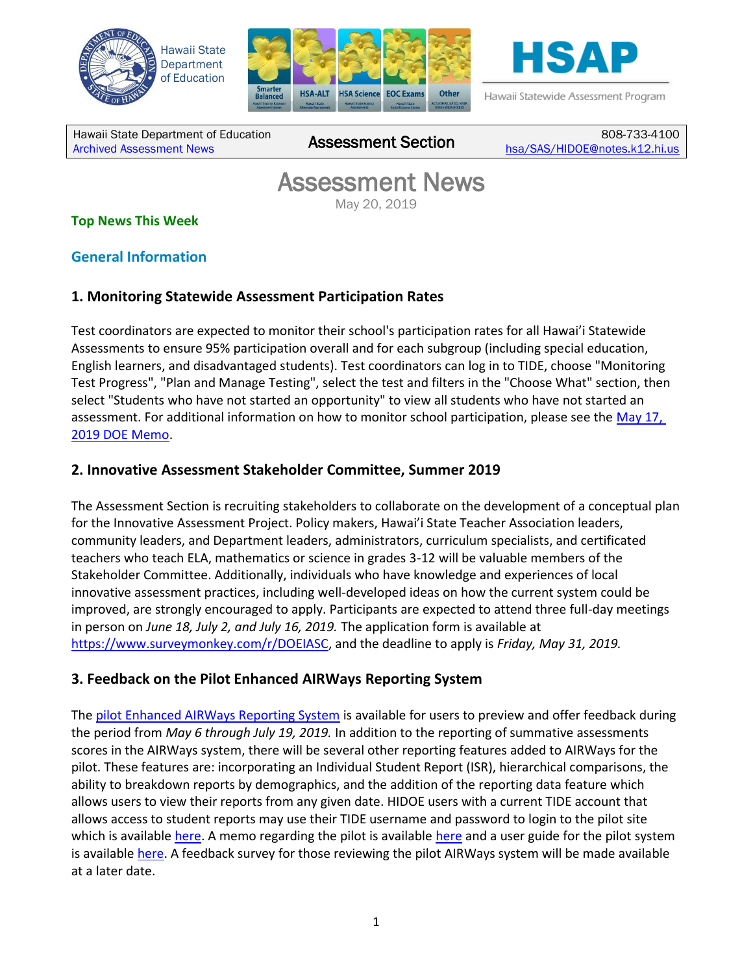





Hawaii Statewide Assessment Program

Hawaii State Department of Education Hawall State Department of Equitation<br>[Archived Assessment News](http://alohahsap.org/SMARTERBALANCED/resources/?section=91) **ASSESSMENT Section** 

808-733-4100 [hsa/SAS/HIDOE@notes.k12.hi.us](mailto:hsa/SAS/HIDOE@notes.k12.hi.us)

# Assessment News May 20, 2019

#### **Top News This Week**

### **General Information**

# **1. Monitoring Statewide Assessment Participation Rates**

Test coordinators are expected to monitor their school's participation rates for all Hawai'i Statewide Assessments to ensure 95% participation overall and for each subgroup (including special education, English learners, and disadvantaged students). Test coordinators can log in to TIDE, choose "Monitoring Test Progress", "Plan and Manage Testing", select the test and filters in the "Choose What" section, then select "Students who have not started an opportunity" to view all students who have not started an assessment. For additional information on how to monitor school participation, please see the May 17, [2019 DOE Memo.](https://smarterbalanced.alohahsap.org/core/fileparse.php/3410/urlt/Memo_Monitoring-Statewide-Assessment-Participation-Rates_05172019.pdf)

# **2. Innovative Assessment Stakeholder Committee, Summer 2019**

The Assessment Section is recruiting stakeholders to collaborate on the development of a conceptual plan for the Innovative Assessment Project. Policy makers, Hawai'i State Teacher Association leaders, community leaders, and Department leaders, administrators, curriculum specialists, and certificated teachers who teach ELA, mathematics or science in grades 3-12 will be valuable members of the Stakeholder Committee. Additionally, individuals who have knowledge and experiences of local innovative assessment practices, including well-developed ideas on how the current system could be improved, are strongly encouraged to apply. Participants are expected to attend three full-day meetings in person on *June 18, July 2, and July 16, 2019.* The application form is available at [https://www.surveymonkey.com/r/DOEIASC,](https://www.surveymonkey.com/r/DOEIASC) and the deadline to apply is *Friday, May 31, 2019.*

### **3. Feedback on the Pilot Enhanced AIRWays Reporting System**

The [pilot Enhanced AIRWays Reporting System](https://smarterbalanced.alohahsap.org/) is available for users to preview and offer feedback during the period from *May 6 through July 19, 2019.* In addition to the reporting of summative assessments scores in the AIRWays system, there will be several other reporting features added to AIRWays for the pilot. These features are: incorporating an Individual Student Report (ISR), hierarchical comparisons, the ability to breakdown reports by demographics, and the addition of the reporting data feature which allows users to view their reports from any given date. HIDOE users with a current TIDE account that allows access to student reports may use their TIDE username and password to login to the pilot site which is available [here.](https://hi-pilot.airways.airast.org/) A memo regarding the pilot is available [here](https://smarterbalanced.alohahsap.org/core/fileparse.php/3404/urlt/Enhanced-AIRWays-Reporting-Memo_04302019.pdf) and a user guide for the pilot system is availabl[e here.](https://smarterbalanced.alohahsap.org/core/fileparse.php/3404/urlt/Enhanced-AIRWays-Guide-18-19_HI.pdf) A feedback survey for those reviewing the pilot AIRWays system will be made available at a later date.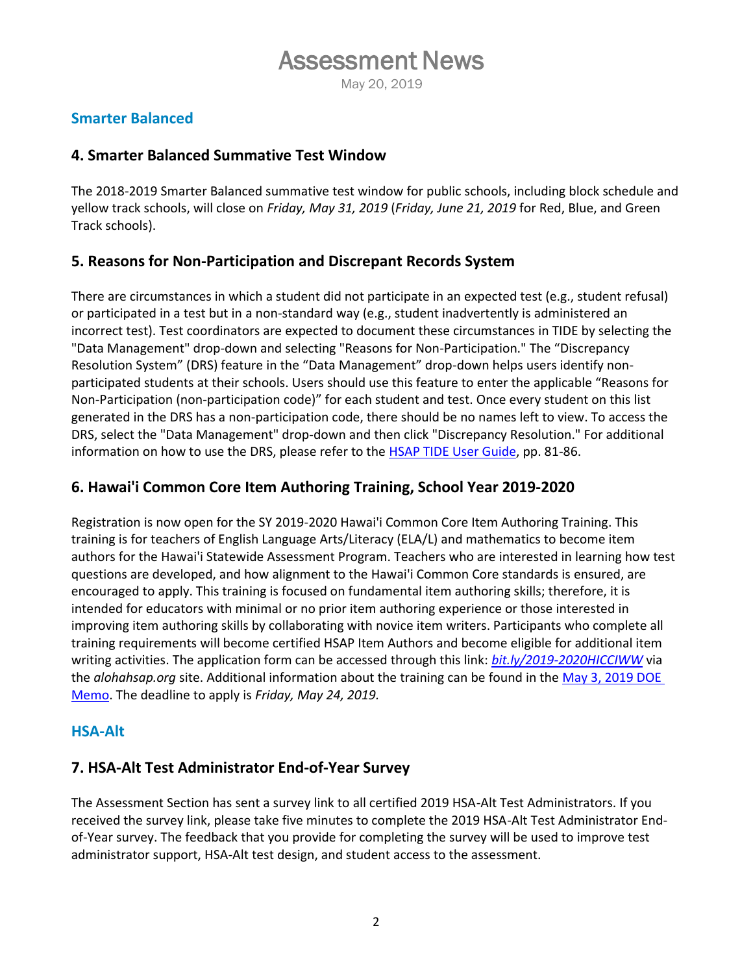# Assessment News

May 20, 2019

## **Smarter Balanced**

### **4. Smarter Balanced Summative Test Window**

The 2018-2019 Smarter Balanced summative test window for public schools, including block schedule and yellow track schools, will close on *Friday, May 31, 2019* (*Friday, June 21, 2019* for Red, Blue, and Green Track schools).

### **5. Reasons for Non-Participation and Discrepant Records System**

There are circumstances in which a student did not participate in an expected test (e.g., student refusal) or participated in a test but in a non-standard way (e.g., student inadvertently is administered an incorrect test). Test coordinators are expected to document these circumstances in TIDE by selecting the "Data Management" drop-down and selecting "Reasons for Non-Participation." The "Discrepancy Resolution System" (DRS) feature in the "Data Management" drop-down helps users identify nonparticipated students at their schools. Users should use this feature to enter the applicable "Reasons for Non-Participation (non-participation code)" for each student and test. Once every student on this list generated in the DRS has a non-participation code, there should be no names left to view. To access the DRS, select the "Data Management" drop-down and then click "Discrepancy Resolution." For additional information on how to use the DRS, please refer to the **HSAP TIDE User Guide**, pp. 81-86.

#### **6. Hawai'i Common Core Item Authoring Training, School Year 2019-2020**

Registration is now open for the SY 2019-2020 Hawai'i Common Core Item Authoring Training. This training is for teachers of English Language Arts/Literacy (ELA/L) and mathematics to become item authors for the Hawai'i Statewide Assessment Program. Teachers who are interested in learning how test questions are developed, and how alignment to the Hawai'i Common Core standards is ensured, are encouraged to apply. This training is focused on fundamental item authoring skills; therefore, it is intended for educators with minimal or no prior item authoring experience or those interested in improving item authoring skills by collaborating with novice item writers. Participants who complete all training requirements will become certified HSAP Item Authors and become eligible for additional item writing activities. The application form can be accessed through this link: *[bit.ly/2019-2020HICCIWW](https://events.r20.constantcontact.com/register/eventReg?oeidk=a07eg896t3p997725a5&oseq=&c=&ch=)* via the *alohahsap.org* site. Additional information about the training can be found in the [May 3, 2019 DOE](https://smarterbalanced.alohahsap.org/core/fileparse.php/3410/urlt/Memo_2019-2020-Hawaii-Common-Core-Item-Authoring-Training.pdf)  [Memo.](https://smarterbalanced.alohahsap.org/core/fileparse.php/3410/urlt/Memo_2019-2020-Hawaii-Common-Core-Item-Authoring-Training.pdf) The deadline to apply is *Friday, May 24, 2019.* 

#### **HSA-Alt**

### **7. HSA-Alt Test Administrator End-of-Year Survey**

The Assessment Section has sent a survey link to all certified 2019 HSA-Alt Test Administrators. If you received the survey link, please take five minutes to complete the 2019 HSA-Alt Test Administrator Endof-Year survey. The feedback that you provide for completing the survey will be used to improve test administrator support, HSA-Alt test design, and student access to the assessment.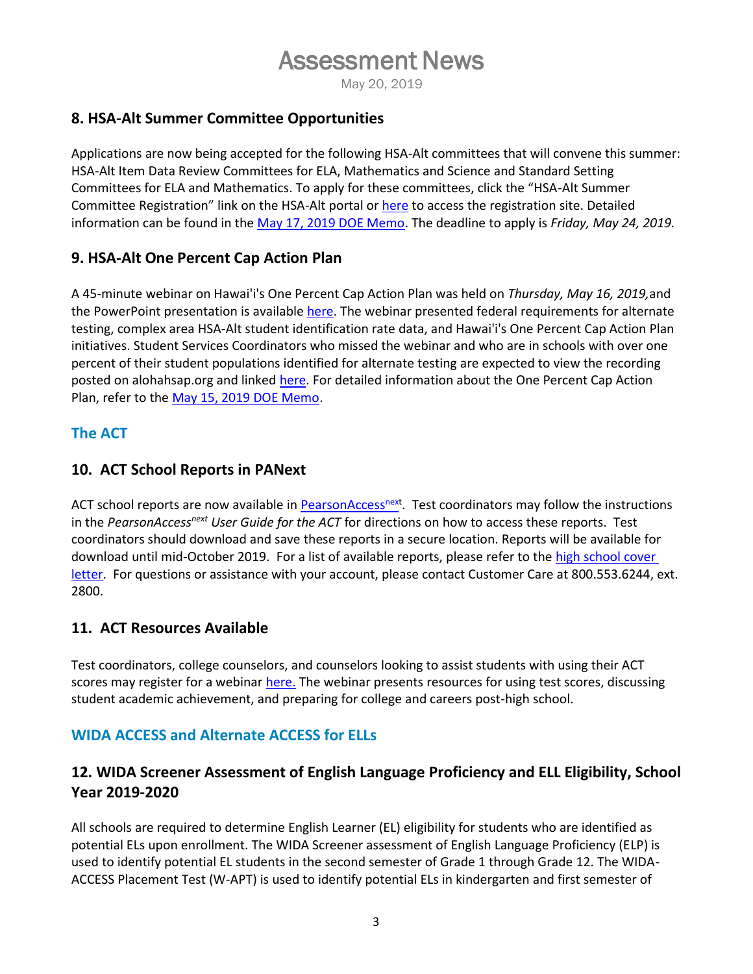# Assessment News

May 20, 2019

#### **8. HSA-Alt Summer Committee Opportunities**

Applications are now being accepted for the following HSA-Alt committees that will convene this summer: HSA-Alt Item Data Review Committees for ELA, Mathematics and Science and Standard Setting Committees for ELA and Mathematics. To apply for these committees, click the "HSA-Alt Summer Committee Registration" link on the HSA-Alt portal o[r here](https://events.r20.constantcontact.com/register/eventReg?oeidk=a07egabv30v73c6c8b9&oseq=&c=&ch=) to access the registration site. Detailed information can be found in the [May 17, 2019 DOE Memo.](notes://lilinote/8A25646700669F2D/EECBC0B67009DC170A2575CF0064FB94/B7ED3064A896757A0A2583FB000BF098) The deadline to apply is *Friday, May 24, 2019.*

#### **9. HSA-Alt One Percent Cap Action Plan**

A 45-minute webinar on Hawai'i's One Percent Cap Action Plan was held on *Thursday, May 16, 2019,*and the PowerPoint presentation is availabl[e here.](https://hsa-alt.alohahsap.org/core/fileparse.php/3344/urlt/HSA-Alt-1-Percent-Webinar-PPT_051619.pdf) The webinar presented federal requirements for alternate testing, complex area HSA-Alt student identification rate data, and Hawai'i's One Percent Cap Action Plan initiatives. Student Services Coordinators who missed the webinar and who are in schools with over one percent of their student populations identified for alternate testing are expected to view the recording posted on alohahsap.org and linked [here.](https://us.bbcollab.com/recording/8efe70355fe2437e8a1f6d452f2a4faf) For detailed information about the One Percent Cap Action Plan, refer to the [May 15, 2019 DOE Memo.](notes://lilinote/8A25646700669F2D/EECBC0B67009DC170A2575CF0064FB94/A3FC16F1E0D64F0E0A2583FB006AA100)

#### **The ACT**

### **10. ACT School Reports in PANext**

ACT school reports are now available in **PearsonAccess<sup>next</sup>. Test coordinators may follow the instructions** in the *PearsonAccessnext User Guide for the ACT* for directions on how to access these reports. Test coordinators should download and save these reports in a secure location. Reports will be available for download until mid-October 2019. For a list of available reports, please refer to the [high school cover](https://www.act.org/content/dam/act/secured/documents/pdfs/2019-Hawaii-High-School-Cover-Letter-PANext.pdf)  [letter.](https://www.act.org/content/dam/act/secured/documents/pdfs/2019-Hawaii-High-School-Cover-Letter-PANext.pdf) For questions or assistance with your account, please contact Customer Care at 800.553.6244, ext. 2800.

#### **11. ACT Resources Available**

Test coordinators, college counselors, and counselors looking to assist students with using their ACT scores may register for a webinar [here.](https://www.act.org/content/act/en/products-and-services/the-act-educator/training.html) The webinar presents resources for using test scores, discussing student academic achievement, and preparing for college and careers post-high school.

#### **WIDA ACCESS and Alternate ACCESS for ELLs**

# **12. WIDA Screener Assessment of English Language Proficiency and ELL Eligibility, School Year 2019-2020**

All schools are required to determine English Learner (EL) eligibility for students who are identified as potential ELs upon enrollment. The WIDA Screener assessment of English Language Proficiency (ELP) is used to identify potential EL students in the second semester of Grade 1 through Grade 12. The WIDA-ACCESS Placement Test (W-APT) is used to identify potential ELs in kindergarten and first semester of